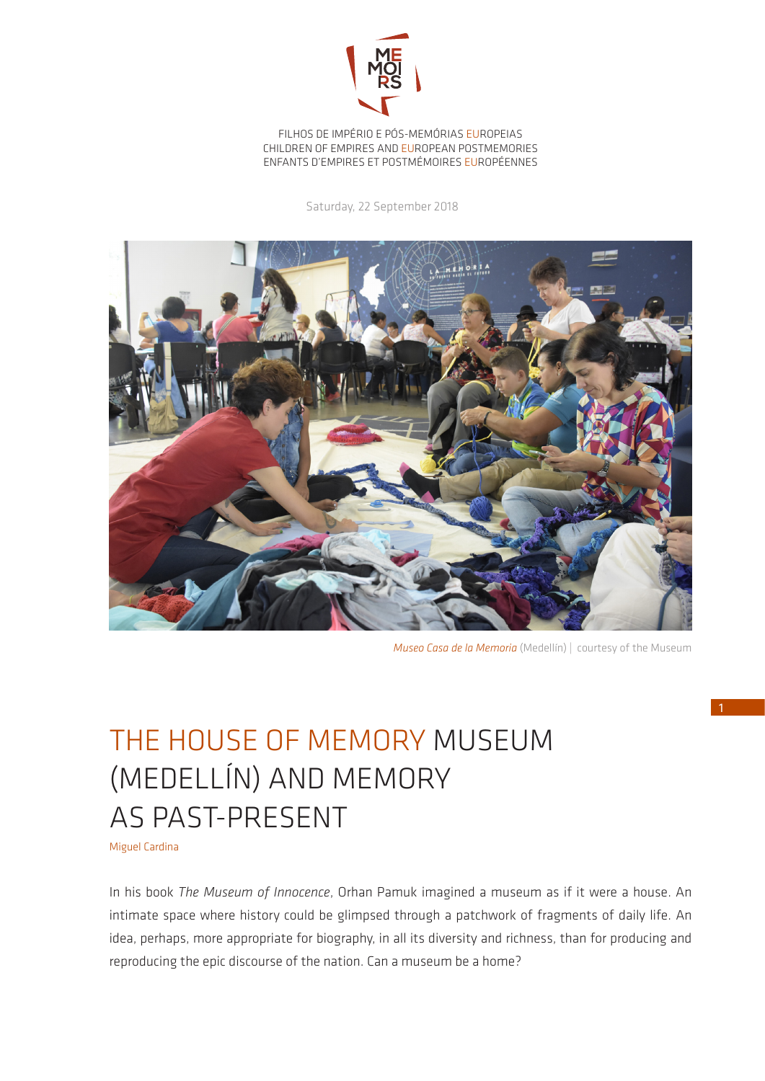

FILHOS DE IMPÉRIO E PÓS-MEMÓRIAS EUROPEIAS CHILDREN OF EMPIRES AND EUROPEAN POSTMEMORIES ENFANTS D'EMPIRES ET POSTMÉMOIRES EUROPÉENNES

Saturday, 22 September 2018



*Museo Casa de la Memoria* (Medellín) *|* courtesy of the Museum

## THE HOUSE OF MEMORY MUSEUM (MEDELLÍN) AND MEMORY AS PAST-PRESENT

Miguel Cardina

In his book *The Museum of Innocence*, Orhan Pamuk imagined a museum as if it were a house. An intimate space where history could be glimpsed through a patchwork of fragments of daily life. An idea, perhaps, more appropriate for biography, in all its diversity and richness, than for producing and reproducing the epic discourse of the nation. Can a museum be a home?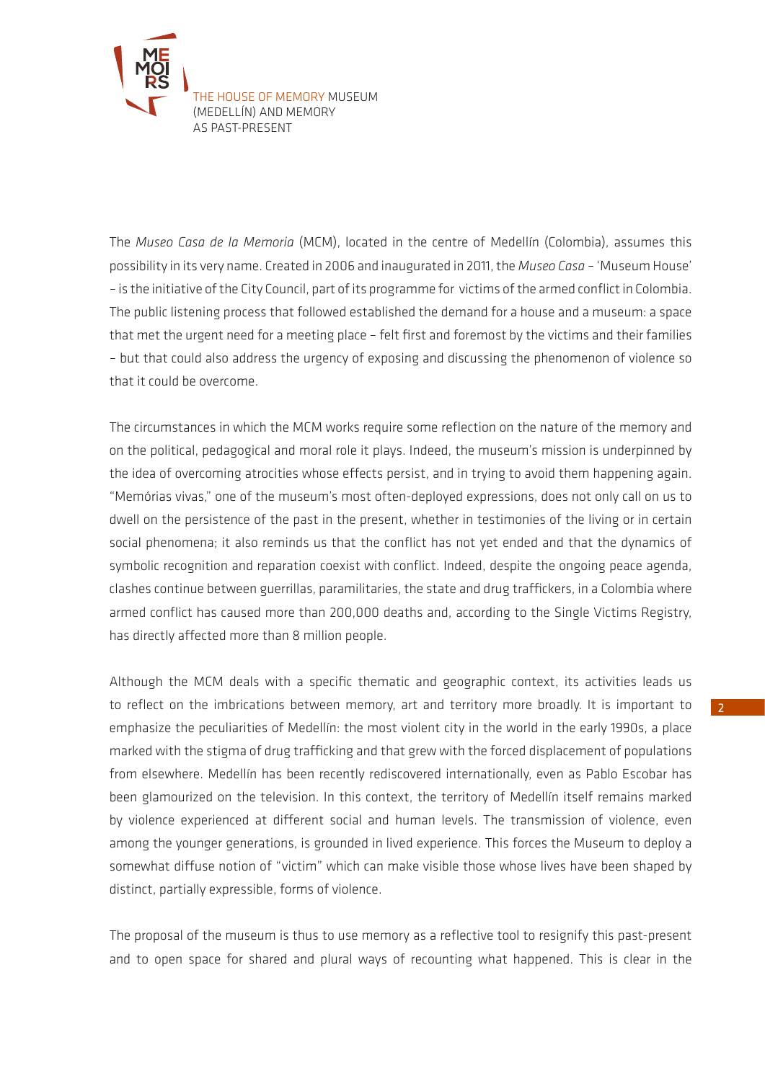

The *Museo Casa de la Memoria* (MCM), located in the centre of Medellín (Colombia), assumes this possibility in its very name. Created in 2006 and inaugurated in 2011, the *Museo Casa –* 'Museum House' – is the initiative of the City Council, part of its programme for victims of the armed conflict in Colombia. The public listening process that followed established the demand for a house and a museum: a space that met the urgent need for a meeting place – felt first and foremost by the victims and their families – but that could also address the urgency of exposing and discussing the phenomenon of violence so that it could be overcome.

The circumstances in which the MCM works require some reflection on the nature of the memory and on the political, pedagogical and moral role it plays. Indeed, the museum's mission is underpinned by the idea of overcoming atrocities whose effects persist, and in trying to avoid them happening again. "Memórias vivas," one of the museum's most often-deployed expressions, does not only call on us to dwell on the persistence of the past in the present, whether in testimonies of the living or in certain social phenomena; it also reminds us that the conflict has not yet ended and that the dynamics of symbolic recognition and reparation coexist with conflict. Indeed, despite the ongoing peace agenda, clashes continue between guerrillas, paramilitaries, the state and drug traffickers, in a Colombia where armed conflict has caused more than 200,000 deaths and, according to the Single Victims Registry, has directly affected more than 8 million people.

Although the MCM deals with a specific thematic and geographic context, its activities leads us to reflect on the imbrications between memory, art and territory more broadly. It is important to emphasize the peculiarities of Medellín: the most violent city in the world in the early 1990s, a place marked with the stigma of drug trafficking and that grew with the forced displacement of populations from elsewhere. Medellín has been recently rediscovered internationally, even as Pablo Escobar has been glamourized on the television. In this context, the territory of Medellín itself remains marked by violence experienced at different social and human levels. The transmission of violence, even among the younger generations, is grounded in lived experience. This forces the Museum to deploy a somewhat diffuse notion of "victim" which can make visible those whose lives have been shaped by distinct, partially expressible, forms of violence.

The proposal of the museum is thus to use memory as a reflective tool to resignify this past-present and to open space for shared and plural ways of recounting what happened. This is clear in the